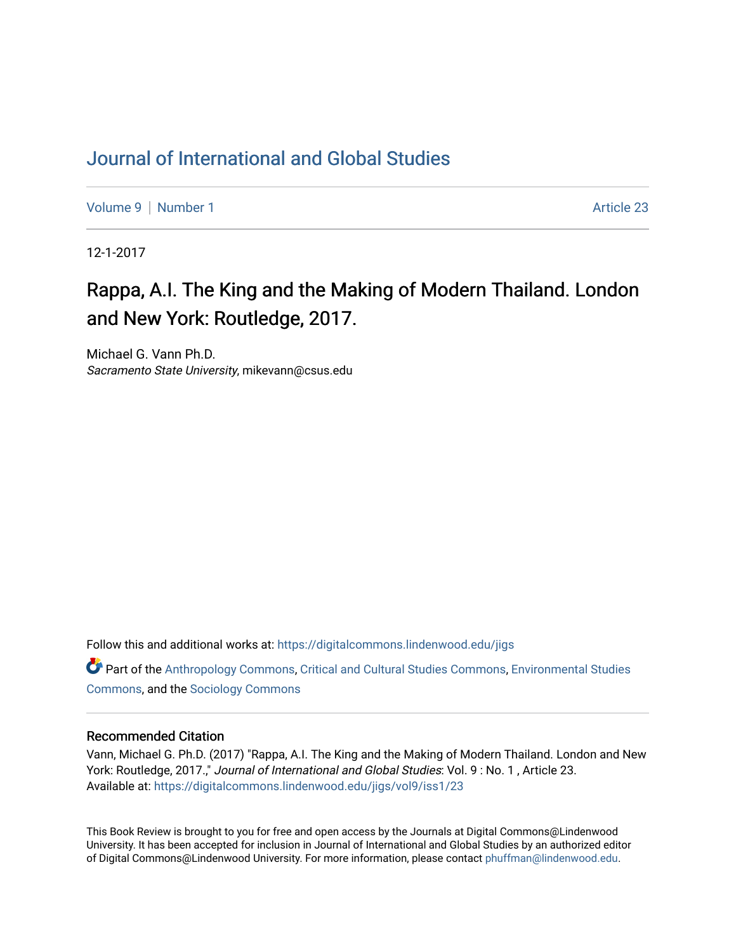## [Journal of International and Global Studies](https://digitalcommons.lindenwood.edu/jigs)

[Volume 9](https://digitalcommons.lindenwood.edu/jigs/vol9) | [Number 1](https://digitalcommons.lindenwood.edu/jigs/vol9/iss1) Article 23

12-1-2017

## Rappa, A.I. The King and the Making of Modern Thailand. London and New York: Routledge, 2017.

Michael G. Vann Ph.D. Sacramento State University, mikevann@csus.edu

Follow this and additional works at: [https://digitalcommons.lindenwood.edu/jigs](https://digitalcommons.lindenwood.edu/jigs?utm_source=digitalcommons.lindenwood.edu%2Fjigs%2Fvol9%2Fiss1%2F23&utm_medium=PDF&utm_campaign=PDFCoverPages) 

**C** Part of the [Anthropology Commons](http://network.bepress.com/hgg/discipline/318?utm_source=digitalcommons.lindenwood.edu%2Fjigs%2Fvol9%2Fiss1%2F23&utm_medium=PDF&utm_campaign=PDFCoverPages), [Critical and Cultural Studies Commons](http://network.bepress.com/hgg/discipline/328?utm_source=digitalcommons.lindenwood.edu%2Fjigs%2Fvol9%2Fiss1%2F23&utm_medium=PDF&utm_campaign=PDFCoverPages), Environmental Studies [Commons](http://network.bepress.com/hgg/discipline/1333?utm_source=digitalcommons.lindenwood.edu%2Fjigs%2Fvol9%2Fiss1%2F23&utm_medium=PDF&utm_campaign=PDFCoverPages), and the [Sociology Commons](http://network.bepress.com/hgg/discipline/416?utm_source=digitalcommons.lindenwood.edu%2Fjigs%2Fvol9%2Fiss1%2F23&utm_medium=PDF&utm_campaign=PDFCoverPages)

## Recommended Citation

Vann, Michael G. Ph.D. (2017) "Rappa, A.I. The King and the Making of Modern Thailand. London and New York: Routledge, 2017.," Journal of International and Global Studies: Vol. 9: No. 1, Article 23. Available at: [https://digitalcommons.lindenwood.edu/jigs/vol9/iss1/23](https://digitalcommons.lindenwood.edu/jigs/vol9/iss1/23?utm_source=digitalcommons.lindenwood.edu%2Fjigs%2Fvol9%2Fiss1%2F23&utm_medium=PDF&utm_campaign=PDFCoverPages) 

This Book Review is brought to you for free and open access by the Journals at Digital Commons@Lindenwood University. It has been accepted for inclusion in Journal of International and Global Studies by an authorized editor of Digital Commons@Lindenwood University. For more information, please contact [phuffman@lindenwood.edu](mailto:phuffman@lindenwood.edu).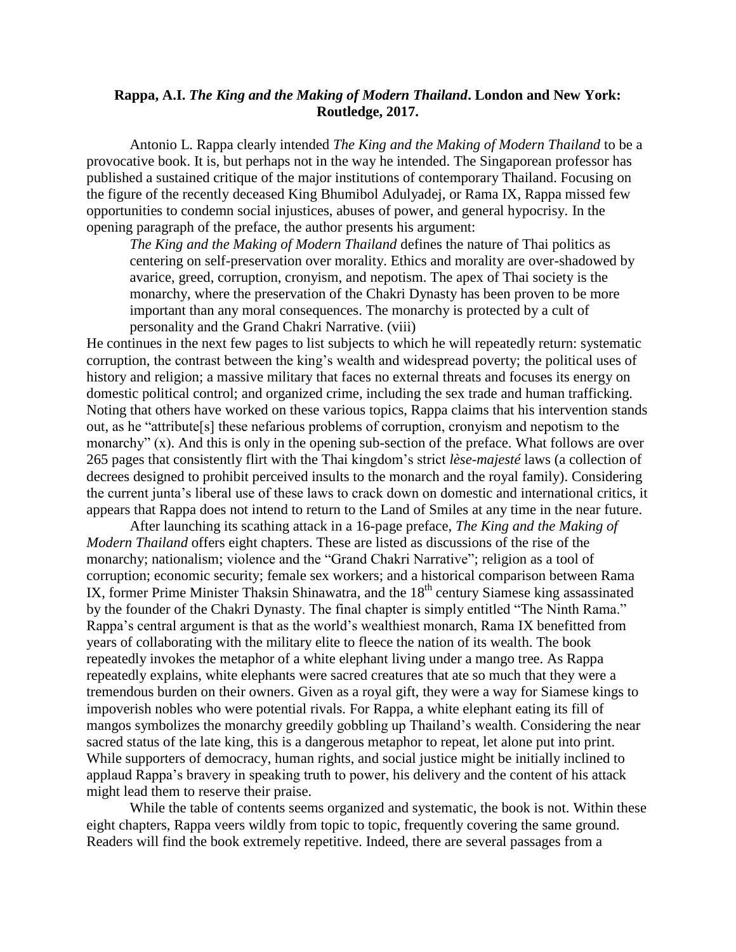## **Rappa, A.I.** *The King and the Making of Modern Thailand***. London and New York: Routledge, 2017.**

Antonio L. Rappa clearly intended *The King and the Making of Modern Thailand* to be a provocative book. It is, but perhaps not in the way he intended. The Singaporean professor has published a sustained critique of the major institutions of contemporary Thailand. Focusing on the figure of the recently deceased King Bhumibol Adulyadej, or Rama IX, Rappa missed few opportunities to condemn social injustices, abuses of power, and general hypocrisy. In the opening paragraph of the preface, the author presents his argument:

*The King and the Making of Modern Thailand* defines the nature of Thai politics as centering on self-preservation over morality. Ethics and morality are over-shadowed by avarice, greed, corruption, cronyism, and nepotism. The apex of Thai society is the monarchy, where the preservation of the Chakri Dynasty has been proven to be more important than any moral consequences. The monarchy is protected by a cult of personality and the Grand Chakri Narrative. (viii)

He continues in the next few pages to list subjects to which he will repeatedly return: systematic corruption, the contrast between the king's wealth and widespread poverty; the political uses of history and religion; a massive military that faces no external threats and focuses its energy on domestic political control; and organized crime, including the sex trade and human trafficking. Noting that others have worked on these various topics, Rappa claims that his intervention stands out, as he "attribute[s] these nefarious problems of corruption, cronyism and nepotism to the monarchy" (x). And this is only in the opening sub-section of the preface. What follows are over 265 pages that consistently flirt with the Thai kingdom's strict *lèse-majesté* laws (a collection of decrees designed to prohibit perceived insults to the monarch and the royal family). Considering the current junta's liberal use of these laws to crack down on domestic and international critics, it appears that Rappa does not intend to return to the Land of Smiles at any time in the near future.

After launching its scathing attack in a 16-page preface, *The King and the Making of Modern Thailand* offers eight chapters. These are listed as discussions of the rise of the monarchy; nationalism; violence and the "Grand Chakri Narrative"; religion as a tool of corruption; economic security; female sex workers; and a historical comparison between Rama IX, former Prime Minister Thaksin Shinawatra, and the  $18<sup>th</sup>$  century Siamese king assassinated by the founder of the Chakri Dynasty. The final chapter is simply entitled "The Ninth Rama." Rappa's central argument is that as the world's wealthiest monarch, Rama IX benefitted from years of collaborating with the military elite to fleece the nation of its wealth. The book repeatedly invokes the metaphor of a white elephant living under a mango tree. As Rappa repeatedly explains, white elephants were sacred creatures that ate so much that they were a tremendous burden on their owners. Given as a royal gift, they were a way for Siamese kings to impoverish nobles who were potential rivals. For Rappa, a white elephant eating its fill of mangos symbolizes the monarchy greedily gobbling up Thailand's wealth. Considering the near sacred status of the late king, this is a dangerous metaphor to repeat, let alone put into print. While supporters of democracy, human rights, and social justice might be initially inclined to applaud Rappa's bravery in speaking truth to power, his delivery and the content of his attack might lead them to reserve their praise.

While the table of contents seems organized and systematic, the book is not. Within these eight chapters, Rappa veers wildly from topic to topic, frequently covering the same ground. Readers will find the book extremely repetitive. Indeed, there are several passages from a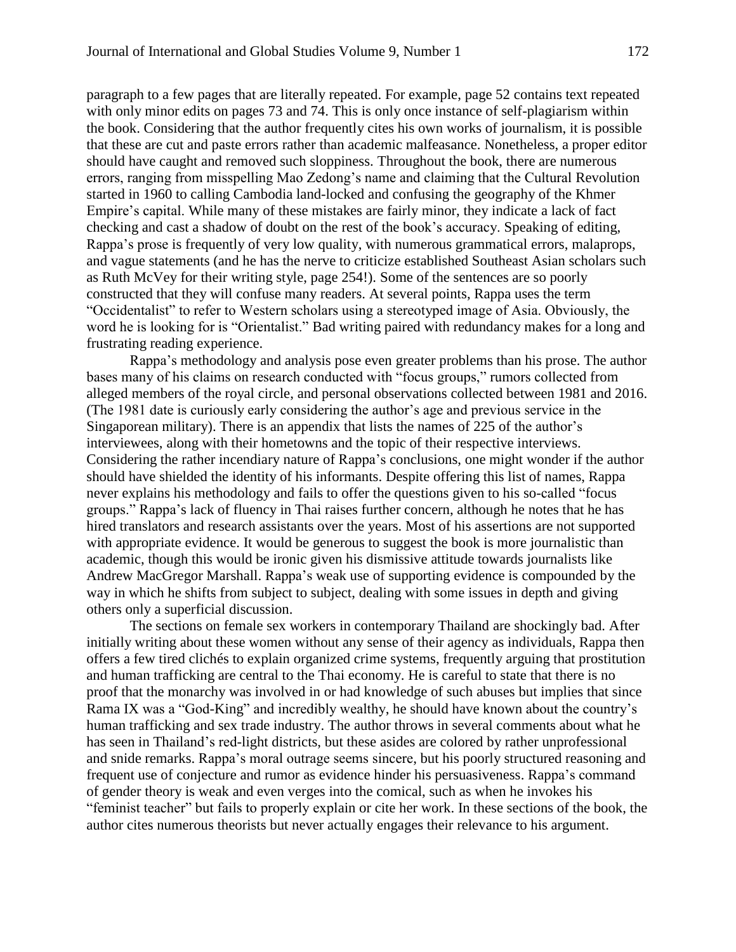paragraph to a few pages that are literally repeated. For example, page 52 contains text repeated with only minor edits on pages 73 and 74. This is only once instance of self-plagiarism within the book. Considering that the author frequently cites his own works of journalism, it is possible that these are cut and paste errors rather than academic malfeasance. Nonetheless, a proper editor should have caught and removed such sloppiness. Throughout the book, there are numerous errors, ranging from misspelling Mao Zedong's name and claiming that the Cultural Revolution started in 1960 to calling Cambodia land-locked and confusing the geography of the Khmer Empire's capital. While many of these mistakes are fairly minor, they indicate a lack of fact checking and cast a shadow of doubt on the rest of the book's accuracy. Speaking of editing, Rappa's prose is frequently of very low quality, with numerous grammatical errors, malaprops, and vague statements (and he has the nerve to criticize established Southeast Asian scholars such as Ruth McVey for their writing style, page 254!). Some of the sentences are so poorly constructed that they will confuse many readers. At several points, Rappa uses the term "Occidentalist" to refer to Western scholars using a stereotyped image of Asia. Obviously, the word he is looking for is "Orientalist." Bad writing paired with redundancy makes for a long and frustrating reading experience.

Rappa's methodology and analysis pose even greater problems than his prose. The author bases many of his claims on research conducted with "focus groups," rumors collected from alleged members of the royal circle, and personal observations collected between 1981 and 2016. (The 1981 date is curiously early considering the author's age and previous service in the Singaporean military). There is an appendix that lists the names of 225 of the author's interviewees, along with their hometowns and the topic of their respective interviews. Considering the rather incendiary nature of Rappa's conclusions, one might wonder if the author should have shielded the identity of his informants. Despite offering this list of names, Rappa never explains his methodology and fails to offer the questions given to his so-called "focus groups." Rappa's lack of fluency in Thai raises further concern, although he notes that he has hired translators and research assistants over the years. Most of his assertions are not supported with appropriate evidence. It would be generous to suggest the book is more journalistic than academic, though this would be ironic given his dismissive attitude towards journalists like Andrew MacGregor Marshall. Rappa's weak use of supporting evidence is compounded by the way in which he shifts from subject to subject, dealing with some issues in depth and giving others only a superficial discussion.

The sections on female sex workers in contemporary Thailand are shockingly bad. After initially writing about these women without any sense of their agency as individuals, Rappa then offers a few tired clichés to explain organized crime systems, frequently arguing that prostitution and human trafficking are central to the Thai economy. He is careful to state that there is no proof that the monarchy was involved in or had knowledge of such abuses but implies that since Rama IX was a "God-King" and incredibly wealthy, he should have known about the country's human trafficking and sex trade industry. The author throws in several comments about what he has seen in Thailand's red-light districts, but these asides are colored by rather unprofessional and snide remarks. Rappa's moral outrage seems sincere, but his poorly structured reasoning and frequent use of conjecture and rumor as evidence hinder his persuasiveness. Rappa's command of gender theory is weak and even verges into the comical, such as when he invokes his "feminist teacher" but fails to properly explain or cite her work. In these sections of the book, the author cites numerous theorists but never actually engages their relevance to his argument.